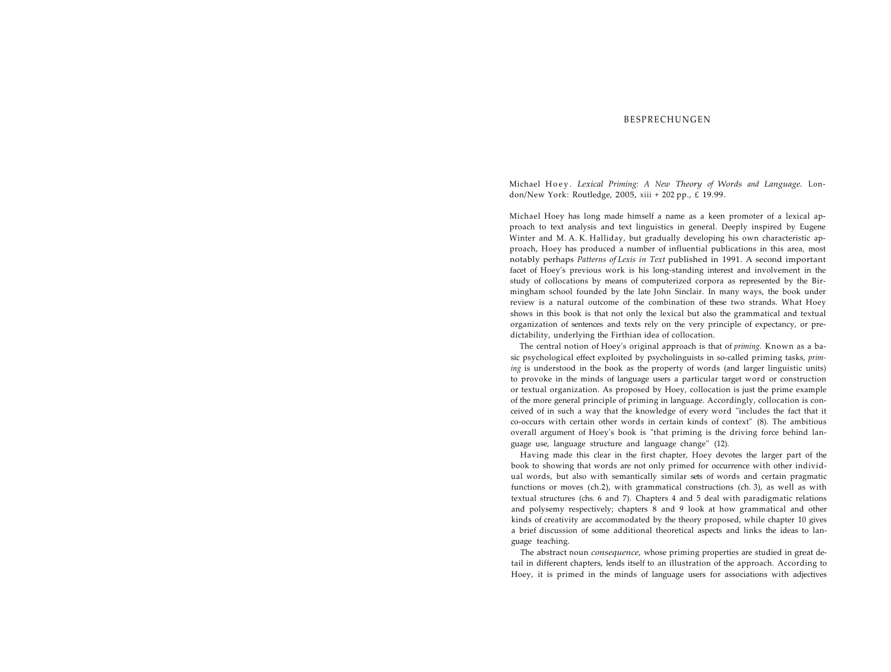## **BESPRECHUNGEN**

Michael Hoey . *Lexical Priming: A New Theory of Words and Language.* London/New York: Routledge, 2005, xiii + 202 pp., £ 19.99.

Michael Hoey has long made himself a name as a keen promoter of a lexical approach to text analysis and text linguistics in general. Deeply inspired by Eugene Winter and M. A. K. Halliday, but gradually developing his own characteristic approach, Hoey has produced a number of influential publications in this area, most notably perhaps *Patterns of Lexis in Text* published in 1991. A second important facet of Hoey's previous work is his long-standing interest and involvement in the study of collocations by means of computerized corpora as represented by the Birmingham school founded by the late John Sinclair. In many ways, the book under review is a natural outcome of the combination of these two strands. What Hoey shows in this book is that not only the lexical but also the grammatical and textual organization of sentences and texts rely on the very principle of expectancy, or predictability, underlying the Firthian idea of collocation.

The central notion of Hoey's original approach is that of *priming.* Known as a basic psychological effect exploited by psycholinguists in so-called priming tasks, *priming* is understood in the book as the property of words (and larger linguistic units) to provoke in the minds of language users a particular target word or construction or textual organization. As proposed by Hoey, collocation is just the prime example of the more general principle of priming in language. Accordingly, collocation is conceived of in such a way that the knowledge of every word "includes the fact that it co-occurs with certain other words in certain kinds of context" (8). The ambitious overall argument of Hoey's book is "that priming is the driving force behind language use, language structure and language change" (12).

Having made this clear in the first chapter, Hoey devotes the larger part of the book to showing that words are not only primed for occurrence with other individual words, but also with semantically similar sets of words and certain pragmatic functions or moves (ch.2), with grammatical constructions (ch. 3), as well as with textual structures (chs. 6 and 7). Chapters 4 and 5 deal with paradigmatic relations and polysemy respectively; chapters 8 and 9 look at how grammatical and other kinds of creativity are accommodated by the theory proposed, while chapter 10 gives a brief discussion of some additional theoretical aspects and links the ideas to language teaching.

The abstract noun *consequence,* whose priming properties are studied in great detail in different chapters, lends itself to an illustration of the approach. According to Hoey, it is primed in the minds of language users for associations with adjectives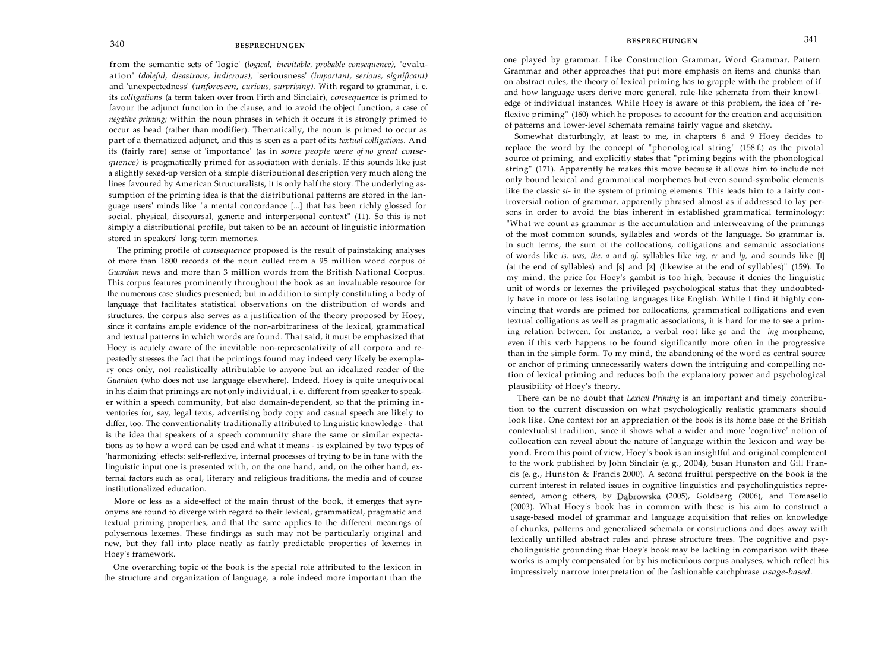from the semantic sets of 'logic' (*logical, inevitable, probable consequence),* 'evaluation' *(doleful, disastrous, ludicrous),* 'seriousness' *(important, serious, significant)*  and 'unexpectedness' *(unforeseen, curious, surprising).* With regard to grammar, i . e. its *colligations* (a term taken over from Firth and Sinclair), *consequence* is primed to favour the adjunct function in the clause, and to avoid the object function, a case of *negative priming;* within the noun phrases in which it occurs it is strongly primed to occur as head (rather than modifier). Thematically, the noun is primed to occur as part of a thematized adjunct, and this is seen as a part of its *textual colligations.* And its (fairly rare) sense of 'importance' (as in *some people were of no great consequence)* is pragmatically primed for association with denials. If this sounds like just a slightly sexed-up version of a simple distributional description very much along the lines favoured by American Structuralists, it is only half the story. The underlying assumption of the priming idea is that the distributional patterns are stored in the language users' minds like "a mental concordance [...] that has been richly glossed for social, physical, discoursal, generic and interpersonal context" (11). So this is not simply a distributional profile, but taken to be an account of linguistic information stored in speakers' long-term memories.

The priming profile of *consequence* proposed is the result of painstaking analyses of more than 1800 records of the noun culled from a 95 million word corpus of *Guardian* news and more than 3 million words from the British National Corpus. This corpus features prominently throughout the book as an invaluable resource for the numerous case studies presented; but in addition to simply constituting a body of language that facilitates statistical observations on the distribution of words and structures, the corpus also serves as a justification of the theory proposed by Hoey, since it contains ample evidence of the non-arbitrariness of the lexical, grammatical and textual patterns in which words are found. That said, it must be emphasized that Hoey is acutely aware of the inevitable non-representativity of all corpora and repeatedly stresses the fact that the primings found may indeed very likely be exemplary ones only, not realistically attributable to anyone but an idealized reader of the *Guardian* (who does not use language elsewhere). Indeed, Hoey is quite unequivocal in his claim that primings are not only individual, i. e. different from speaker to speaker within a speech community, but also domain-dependent, so that the priming inventories for, say, legal texts, advertising body copy and casual speech are likely to differ, too. The conventionality traditionally attributed to linguistic knowledge - that is the idea that speakers of a speech community share the same or similar expectations as to how a word can be used and what it means - is explained by two types of 'harmonizing' effects: self-reflexive, internal processes of trying to be in tune with the linguistic input one is presented with, on the one hand, and, on the other hand, external factors such as oral, literary and religious traditions, the media and of course institutionalized education.

More or less as a side-effect of the main thrust of the book, it emerges that synonyms are found to diverge with regard to their lexical, grammatical, pragmatic and textual priming properties, and that the same applies to the different meanings of polysemous lexemes. These findings as such may not be particularly original and new, but they fall into place neatly as fairly predictable properties of lexemes in Hoey's framework.

One overarching topic of the book is the special role attributed to the lexicon in the structure and organization of language, a role indeed more important than the

one played by grammar. Like Construction Grammar, Word Grammar, Pattern Grammar and other approaches that put more emphasis on items and chunks than on abstract rules, the theory of lexical priming has to grapple with the problem of if and how language users derive more general, rule-like schemata from their knowledge of individual instances. While Hoey is aware of this problem, the idea of "reflexive priming" (160) which he proposes to account for the creation and acquisition of patterns and lower-level schemata remains fairly vague and sketchy.

Somewhat disturbingly, at least to me, in chapters 8 and 9 Hoey decides to replace the word by the concept of "phonological string" (158 f.) as the pivotal source of priming, and explicitly states that "priming begins with the phonological string" (171). Apparently he makes this move because it allows him to include not only bound lexical and grammatical morphemes but even sound-symbolic elements like the classic *sl-* in the system of priming elements. This leads him to a fairly controversial notion of grammar, apparently phrased almost as if addressed to lay persons in order to avoid the bias inherent in established grammatical terminology: "What we count as grammar is the accumulation and interweaving of the primings of the most common sounds, syllables and words of the language. So grammar is, in such terms, the sum of the collocations, colligations and semantic associations of words like *is, was, the, a* and *of,* syllables like *ing, er* and *ly,* and sounds like [t] (at the end of syllables) and [s] and [z] (likewise at the end of syllables)" (159). To my mind, the price for Hoey's gambit is too high, because it denies the linguistic unit of words or lexemes the privileged psychological status that they undoubtedly have in more or less isolating languages like English. While I find it highly convincing that words are primed for collocations, grammatical colligations and even textual colligations as well as pragmatic associations, it is hard for me to see a priming relation between, for instance, a verbal root like *go* and the *-ing* morpheme, even if this verb happens to be found significantly more often in the progressive than in the simple form. To my mind, the abandoning of the word as central source or anchor of priming unnecessarily waters down the intriguing and compelling notion of lexical priming and reduces both the explanatory power and psychological plausibility of Hoey's theory.

There can be no doubt that *Lexical Priming* is an important and timely contribution to the current discussion on what psychologically realistic grammars should look like. One context for an appreciation of the book is its home base of the British contextualist tradition, since it shows what a wider and more 'cognitive' notion of collocation can reveal about the nature of language within the lexicon and way beyond. From this point of view, Hoey's book is an insightful and original complement to the work published by John Sinclair (e. g., 2004), Susan Hunston and Gill Francis (e. g., Hunston & Francis 2000). A second fruitful perspective on the book is the current interest in related issues in cognitive linguistics and psycholinguistics represented, among others, by Dąbrowska (2005), Goldberg (2006), and Tomasello (2003). What Hoey's book has in common with these is his aim to construct a usage-based model of grammar and language acquisition that relies on knowledge of chunks, patterns and generalized schemata or constructions and does away with lexically unfilled abstract rules and phrase structure trees. The cognitive and psycholinguistic grounding that Hoey's book may be lacking in comparison with these works is amply compensated for by his meticulous corpus analyses, which reflect his impressively narrow interpretation of the fashionable catchphrase *usage-based.*